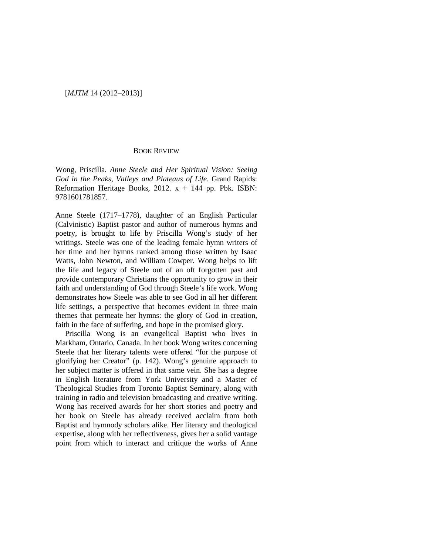## BOOK REVIEW

Wong, Priscilla. *Anne Steele and Her Spiritual Vision: Seeing God in the Peaks, Valleys and Plateaus of Life*. Grand Rapids: Reformation Heritage Books, 2012.  $x + 144$  pp. Pbk. ISBN: 9781601781857.

Anne Steele (1717–1778), daughter of an English Particular (Calvinistic) Baptist pastor and author of numerous hymns and poetry, is brought to life by Priscilla Wong's study of her writings. Steele was one of the leading female hymn writers of her time and her hymns ranked among those written by Isaac Watts, John Newton, and William Cowper. Wong helps to lift the life and legacy of Steele out of an oft forgotten past and provide contemporary Christians the opportunity to grow in their faith and understanding of God through Steele's life work. Wong demonstrates how Steele was able to see God in all her different life settings, a perspective that becomes evident in three main themes that permeate her hymns: the glory of God in creation, faith in the face of suffering, and hope in the promised glory.

Priscilla Wong is an evangelical Baptist who lives in Markham, Ontario, Canada. In her book Wong writes concerning Steele that her literary talents were offered "for the purpose of glorifying her Creator" (p. 142). Wong's genuine approach to her subject matter is offered in that same vein. She has a degree in English literature from York University and a Master of Theological Studies from Toronto Baptist Seminary, along with training in radio and television broadcasting and creative writing. Wong has received awards for her short stories and poetry and her book on Steele has already received acclaim from both Baptist and hymnody scholars alike. Her literary and theological expertise, along with her reflectiveness, gives her a solid vantage point from which to interact and critique the works of Anne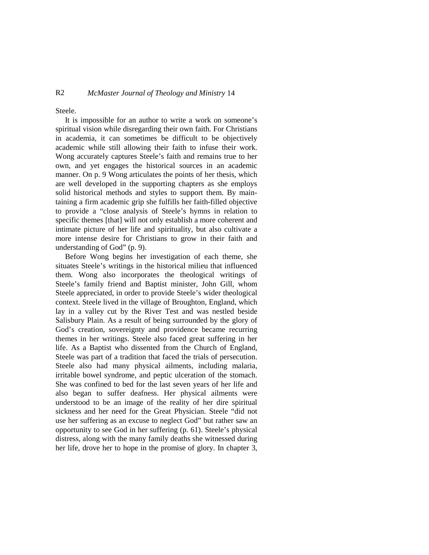## R2 *McMaster Journal of Theology and Ministry* 14

Steele.

It is impossible for an author to write a work on someone's spiritual vision while disregarding their own faith. For Christians in academia, it can sometimes be difficult to be objectively academic while still allowing their faith to infuse their work. Wong accurately captures Steele's faith and remains true to her own, and yet engages the historical sources in an academic manner. On p. 9 Wong articulates the points of her thesis, which are well developed in the supporting chapters as she employs solid historical methods and styles to support them. By maintaining a firm academic grip she fulfills her faith-filled objective to provide a "close analysis of Steele's hymns in relation to specific themes [that] will not only establish a more coherent and intimate picture of her life and spirituality, but also cultivate a more intense desire for Christians to grow in their faith and understanding of God" (p. 9).

Before Wong begins her investigation of each theme, she situates Steele's writings in the historical milieu that influenced them. Wong also incorporates the theological writings of Steele's family friend and Baptist minister, John Gill, whom Steele appreciated, in order to provide Steele's wider theological context. Steele lived in the village of Broughton, England, which lay in a valley cut by the River Test and was nestled beside Salisbury Plain. As a result of being surrounded by the glory of God's creation, sovereignty and providence became recurring themes in her writings. Steele also faced great suffering in her life. As a Baptist who dissented from the Church of England, Steele was part of a tradition that faced the trials of persecution. Steele also had many physical ailments, including malaria, irritable bowel syndrome, and peptic ulceration of the stomach. She was confined to bed for the last seven years of her life and also began to suffer deafness. Her physical ailments were understood to be an image of the reality of her dire spiritual sickness and her need for the Great Physician. Steele "did not use her suffering as an excuse to neglect God" but rather saw an opportunity to see God in her suffering (p. 61). Steele's physical distress, along with the many family deaths she witnessed during her life, drove her to hope in the promise of glory. In chapter 3,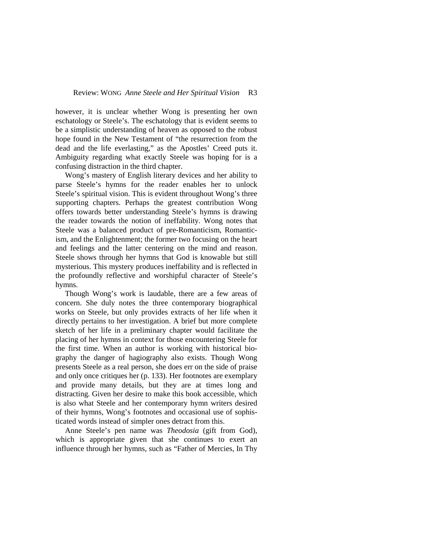however, it is unclear whether Wong is presenting her own eschatology or Steele's. The eschatology that is evident seems to be a simplistic understanding of heaven as opposed to the robust hope found in the New Testament of "the resurrection from the dead and the life everlasting," as the Apostles' Creed puts it. Ambiguity regarding what exactly Steele was hoping for is a confusing distraction in the third chapter.

Wong's mastery of English literary devices and her ability to parse Steele's hymns for the reader enables her to unlock Steele's spiritual vision. This is evident throughout Wong's three supporting chapters. Perhaps the greatest contribution Wong offers towards better understanding Steele's hymns is drawing the reader towards the notion of ineffability. Wong notes that Steele was a balanced product of pre-Romanticism, Romanticism, and the Enlightenment; the former two focusing on the heart and feelings and the latter centering on the mind and reason. Steele shows through her hymns that God is knowable but still mysterious. This mystery produces ineffability and is reflected in the profoundly reflective and worshipful character of Steele's hymns.

Though Wong's work is laudable, there are a few areas of concern. She duly notes the three contemporary biographical works on Steele, but only provides extracts of her life when it directly pertains to her investigation. A brief but more complete sketch of her life in a preliminary chapter would facilitate the placing of her hymns in context for those encountering Steele for the first time. When an author is working with historical biography the danger of hagiography also exists. Though Wong presents Steele as a real person, she does err on the side of praise and only once critiques her (p. 133). Her footnotes are exemplary and provide many details, but they are at times long and distracting. Given her desire to make this book accessible, which is also what Steele and her contemporary hymn writers desired of their hymns, Wong's footnotes and occasional use of sophisticated words instead of simpler ones detract from this.

Anne Steele's pen name was *Theodosia* (gift from God), which is appropriate given that she continues to exert an influence through her hymns, such as "Father of Mercies, In Thy